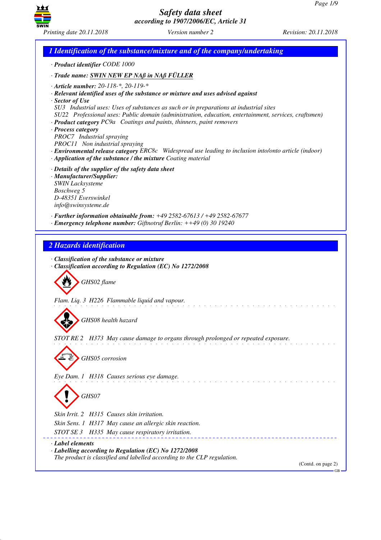

*1 Identification of the substance/mixture and of the company/undertaking · Product identifier CODE 1000 · Trade name: SWIN NEW EP NAß in NAß FÜLLER · Article number: 20-118-\*, 20-119-\* · Relevant identified uses of the substance or mixture and uses advised against · Sector of Use SU3 Industrial uses: Uses of substances as such or in preparations at industrial sites SU22 Professional uses: Public domain (administration, education, entertainment, services, craftsmen) · Product category PC9a Coatings and paints, thinners, paint removers · Process category PROC7 Industrial spraying PROC11 Non industrial spraying · Environmental release category ERC8c Widespread use leading to inclusion into/onto article (indoor) · Application of the substance / the mixture Coating material · Details of the supplier of the safety data sheet · Manufacturer/Supplier: SWIN Lacksysteme Boschweg 5 D-48351 Everswinkel info@swinsysteme.de · Further information obtainable from: +49 2582-67613 / +49 2582-67677 · Emergency telephone number: Giftnotruf Berlin: ++49 (0) 30 19240 2 Hazards identification · Classification of the substance or mixture · Classification according to Regulation (EC) No 1272/2008* d~*GHS02 flame Flam. Liq. 3 H226 Flammable liquid and vapour.* d~*GHS08 health hazard STOT RE 2 H373 May cause damage to organs through prolonged or repeated exposure.* d~*GHS05 corrosion Eye Dam. 1 H318 Causes serious eye damage.* d~*GHS07 Skin Irrit. 2 H315 Causes skin irritation. Skin Sens. 1 H317 May cause an allergic skin reaction. STOT SE 3 H335 May cause respiratory irritation. · Label elements · Labelling according to Regulation (EC) No 1272/2008 The product is classified and labelled according to the CLP regulation.* (Contd. on page 2) GB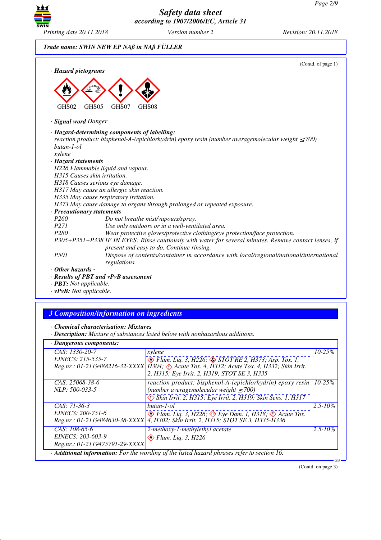

# *Trade name: SWIN NEW EP NAß in NAß FÜLLER*

| · Hazard pictograms                  | (Contd. of page 1)                                                                                                                                 |
|--------------------------------------|----------------------------------------------------------------------------------------------------------------------------------------------------|
| GHS02                                | GHS05<br>GHS07<br>GHS08                                                                                                                            |
| · <b>Signal word Danger</b>          |                                                                                                                                                    |
|                                      | · Hazard-determining components of labelling:                                                                                                      |
| butan-1-ol                           | reaction product: bisphenol-A-(epichlorhydrin) epoxy resin (number averagemolecular weight $\leq$ 700)                                             |
| xylene                               |                                                                                                                                                    |
| · Hazard statements                  |                                                                                                                                                    |
|                                      | H226 Flammable liquid and vapour.                                                                                                                  |
| H315 Causes skin irritation.         |                                                                                                                                                    |
|                                      | H318 Causes serious eye damage.                                                                                                                    |
|                                      | H317 May cause an allergic skin reaction.                                                                                                          |
|                                      | H335 May cause respiratory irritation.                                                                                                             |
|                                      | H373 May cause damage to organs through prolonged or repeated exposure.                                                                            |
| · Precautionary statements           |                                                                                                                                                    |
| P <sub>260</sub>                     | Do not breathe mist/vapours/spray.                                                                                                                 |
| <i>P271</i>                          | Use only outdoors or in a well-ventilated area.                                                                                                    |
| P280                                 | Wear protective gloves/protective clothing/eye protection/face protection.                                                                         |
|                                      | P305+P351+P338 IF IN EYES: Rinse cautiously with water for several minutes. Remove contact lenses, if<br>present and easy to do. Continue rinsing. |
| <i>P501</i>                          | Dispose of contents/container in accordance with local/regional/national/international<br>regulations.                                             |
| $\cdot$ Other hazards -              |                                                                                                                                                    |
|                                      | · Results of PBT and vPvB assessment                                                                                                               |
| $\cdot$ <b>PBT</b> : Not applicable. |                                                                                                                                                    |

*· vPvB: Not applicable.*

# *3 Composition/information on ingredients*

*· Chemical characterisation: Mixtures*

*· Description: Mixture of substances listed below with nonhazardous additions.*

| · Dangerous components:                                                                           |                                                                                                                                                                                                                         |                      |  |  |
|---------------------------------------------------------------------------------------------------|-------------------------------------------------------------------------------------------------------------------------------------------------------------------------------------------------------------------------|----------------------|--|--|
| CAS: 1330-20-7                                                                                    | xylene                                                                                                                                                                                                                  | $10 - 25\%$          |  |  |
| EINECS: 215-535-7                                                                                 | $\otimes$ Flam. Liq. 3, H226; $\otimes$ STOT RE 2, H373; Asp. Tox. 1,<br>Reg.nr.: 01-2119488216-32-XXXX   H304; < > Acute Tox. 4, H312; Acute Tox. 4, H332; Skin Irrit.<br>2, H315; Eye Irrit. 2, H319; STOT SE 3, H335 |                      |  |  |
| CAS: 25068-38-6                                                                                   | reaction product: bisphenol-A-(epichlorhydrin) epoxy resin                                                                                                                                                              | $\overline{10-25\%}$ |  |  |
| NLP: 500-033-5                                                                                    | (number averagemolecular weight $\leq$ 700)                                                                                                                                                                             |                      |  |  |
|                                                                                                   | Skin Irrit. 2, H315; Eye Irrit. 2, H319; Skin Sens. 1, H317                                                                                                                                                             |                      |  |  |
| CAS: 71-36-3                                                                                      | butan-1-ol                                                                                                                                                                                                              | $2.5 - 10\%$         |  |  |
| EINECS: 200-751-6<br>Reg.nr.: 01-2119484630-38-XXXX                                               | $\otimes$ Flam. Liq. 3, H226; $\otimes$ Eye Dam. 1, H318; $\otimes$ Acute Tox.<br>4, H302; Skin Irrit. 2, H315; STOT SE 3, H335-H336                                                                                    |                      |  |  |
| CAS: $108-65-6$                                                                                   | 2-methoxy-1-methylethyl acetate                                                                                                                                                                                         | $2.5 - 10\%$         |  |  |
| EINECS: 203-603-9                                                                                 | $\otimes$ Flam. Lig. 3, H226                                                                                                                                                                                            |                      |  |  |
| Reg.nr.: 01-2119475791-29-XXXX                                                                    |                                                                                                                                                                                                                         |                      |  |  |
| · Additional information: For the wording of the listed hazard phrases refer to section 16.<br>GB |                                                                                                                                                                                                                         |                      |  |  |

(Contd. on page 3)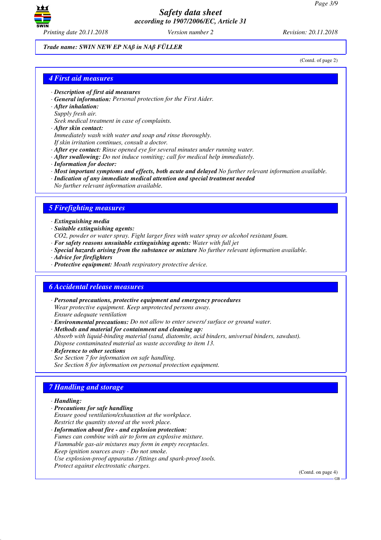

*Trade name: SWIN NEW EP NAß in NAß FÜLLER*

(Contd. of page 2)

### *4 First aid measures*

- *· Description of first aid measures*
- *· General information: Personal protection for the First Aider.*
- *· After inhalation:*
- *Supply fresh air.*

*Seek medical treatment in case of complaints.*

*· After skin contact:*

*Immediately wash with water and soap and rinse thoroughly. If skin irritation continues, consult a doctor.*

*· After eye contact: Rinse opened eye for several minutes under running water.*

- *· After swallowing: Do not induce vomiting; call for medical help immediately.*
- *· Information for doctor:*
- *· Most important symptoms and effects, both acute and delayed No further relevant information available.*
- *· Indication of any immediate medical attention and special treatment needed*
- *No further relevant information available.*

# *5 Firefighting measures*

#### *· Extinguishing media*

- *· Suitable extinguishing agents:*
- *CO2, powder or water spray. Fight larger fires with water spray or alcohol resistant foam.*
- *· For safety reasons unsuitable extinguishing agents: Water with full jet*
- *· Special hazards arising from the substance or mixture No further relevant information available.*
- *· Advice for firefighters*
- *· Protective equipment: Mouth respiratory protective device.*

### *6 Accidental release measures*

- *· Personal precautions, protective equipment and emergency procedures Wear protective equipment. Keep unprotected persons away. Ensure adequate ventilation*
- *· Environmental precautions: Do not allow to enter sewers/ surface or ground water.*

*· Methods and material for containment and cleaning up: Absorb with liquid-binding material (sand, diatomite, acid binders, universal binders, sawdust). Dispose contaminated material as waste according to item 13.*

*· Reference to other sections See Section 7 for information on safe handling. See Section 8 for information on personal protection equipment.*

# *7 Handling and storage*

### *· Handling:*

- *· Precautions for safe handling Ensure good ventilation/exhaustion at the workplace.*
- *Restrict the quantity stored at the work place.*

*· Information about fire - and explosion protection: Fumes can combine with air to form an explosive mixture. Flammable gas-air mixtures may form in empty receptacles. Keep ignition sources away - Do not smoke. Use explosion-proof apparatus / fittings and spark-proof tools. Protect against electrostatic charges.*

(Contd. on page 4)

GB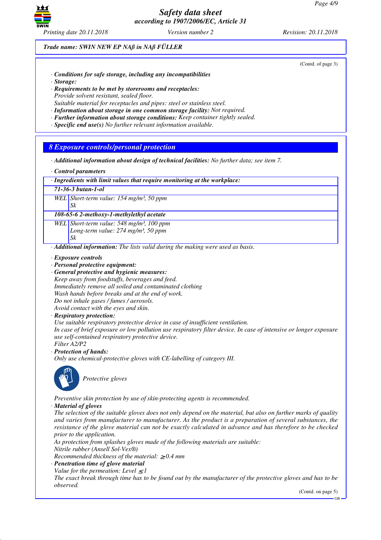

*Trade name: SWIN NEW EP NAß in NAß FÜLLER*

(Contd. of page 3)

- *· Conditions for safe storage, including any incompatibilities*
- *· Storage:*
- *· Requirements to be met by storerooms and receptacles: Provide solvent resistant, sealed floor. Suitable material for receptacles and pipes: steel or stainless steel.*
- *· Information about storage in one common storage facility: Not required.*
- *· Further information about storage conditions: Keep container tightly sealed.*
- *· Specific end use(s) No further relevant information available.*

# *8 Exposure controls/personal protection*

- *· Additional information about design of technical facilities: No further data; see item 7.*
- *· Control parameters*
- *· Ingredients with limit values that require monitoring at the workplace:*
- *71-36-3 butan-1-ol*
- *WEL Short-term value: 154 mg/m³, 50 ppm*
	- *Sk*

# *108-65-6 2-methoxy-1-methylethyl acetate*

*WEL Short-term value: 548 mg/m³, 100 ppm Long-term value: 274 mg/m³, 50 ppm Sk*

*· Additional information: The lists valid during the making were used as basis.*

- *· Exposure controls*
- *· Personal protective equipment:*
- *· General protective and hygienic measures: Keep away from foodstuffs, beverages and feed. Immediately remove all soiled and contaminated clothing Wash hands before breaks and at the end of work. Do not inhale gases / fumes / aerosols. Avoid contact with the eyes and skin.*
- *· Respiratory protection:*
- *Use suitable respiratory protective device in case of insufficient ventilation.*

*In case of brief exposure or low pollution use respiratory filter device. In case of intensive or longer exposure use self-contained respiratory protective device.*

- *Filter A2/P2*
- *· Protection of hands:*

*Only use chemical-protective gloves with CE-labelling of category III.*



\_S*Protective gloves*

*Preventive skin protection by use of skin-protecting agents is recommended.*

*· Material of gloves*

*The selection of the suitable gloves does not only depend on the material, but also on further marks of quality and varies from manufacturer to manufacturer. As the product is a preparation of several substances, the resistance of the glove material can not be exactly calculated in advance and has therefore to be checked prior to the application.*

*As protection from splashes gloves made of the following materials are suitable: Nitrile rubber (Ansell Sol-Vex®)*

*Recommended thickness of the material:* ≥ *0.4 mm*

*· Penetration time of glove material Value for the permeation: Level*  $\leq$  *I* 

*The exact break through time has to be found out by the manufacturer of the protective gloves and has to be observed.*

(Contd. on page 5)

GB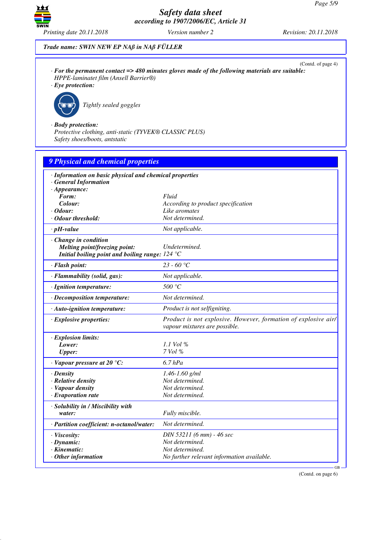

*Trade name: SWIN NEW EP NAß in NAß FÜLLER*

(Contd. of page 4) *· For the permanent contact => 480 minutes gloves made of the following materials are suitable: HPPE-laminatet film (Ansell Barrier®)*

*· Eye protection:*



\_R*Tightly sealed goggles*

*· Body protection:*

*Protective clothing, anti-static (TYVEK® CLASSIC PLUS) Safety shoes/boots, antstatic*

| <b>9 Physical and chemical properties</b>                                        |                                                                                                 |
|----------------------------------------------------------------------------------|-------------------------------------------------------------------------------------------------|
| · Information on basic physical and chemical properties<br>· General Information |                                                                                                 |
| $\cdot$ Appearance:                                                              |                                                                                                 |
| Form:                                                                            | Fluid                                                                                           |
| Colour:                                                                          | According to product specification                                                              |
| · Odour:                                                                         | Like aromates                                                                                   |
| $\cdot$ Odour threshold:                                                         | Not determined.                                                                                 |
| $\cdot$ pH-value                                                                 | Not applicable.                                                                                 |
| $\cdot$ Change in condition                                                      |                                                                                                 |
| Melting point/freezing point:                                                    | Undetermined.                                                                                   |
| Initial boiling point and boiling range: $124 \text{ }^{\circ}\text{C}$          |                                                                                                 |
| · Flash point:                                                                   | 23 - 60 °C                                                                                      |
| · Flammability (solid, gas):                                                     | Not applicable.                                                                                 |
| · Ignition temperature:                                                          | 500 °C                                                                                          |
| · Decomposition temperature:                                                     | Not determined.                                                                                 |
| · Auto-ignition temperature:                                                     | Product is not selfigniting.                                                                    |
| · Explosive properties:                                                          | Product is not explosive. However, formation of explosive air/<br>vapour mixtures are possible. |
| · Explosion limits:                                                              |                                                                                                 |
| Lower:                                                                           | 1.1 Vol $\%$                                                                                    |
| <b>Upper:</b>                                                                    | $7$ Vol $%$                                                                                     |
| $\cdot$ Vapour pressure at 20 °C:                                                | $6.7$ $hPa$                                                                                     |
| $\cdot$ Density                                                                  | $1.46 - 1.60$ g/ml                                                                              |
| · Relative density                                                               | Not determined.                                                                                 |
| · Vapour density                                                                 | Not determined.                                                                                 |
| $\cdot$ Evaporation rate                                                         | Not determined.                                                                                 |
| · Solubility in / Miscibility with                                               |                                                                                                 |
| water:                                                                           | Fully miscible.                                                                                 |
| · Partition coefficient: n-octanol/water:                                        | Not determined.                                                                                 |
| · Viscosity:                                                                     | DIN 53211 (6 mm) - 46 sec                                                                       |
| $\cdot$ Dynamic:                                                                 | Not determined.                                                                                 |
| · Kinematic:                                                                     | Not determined.                                                                                 |
| $\cdot$ Other information                                                        | No further relevant information available.                                                      |

(Contd. on page 6)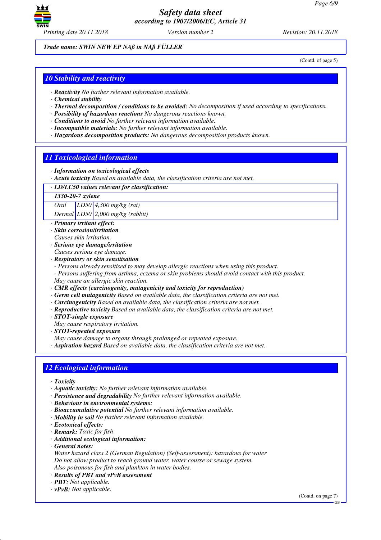

*Trade name: SWIN NEW EP NAß in NAß FÜLLER*

(Contd. of page 5)

# *10 Stability and reactivity*

- *· Reactivity No further relevant information available.*
- *· Chemical stability*
- *· Thermal decomposition / conditions to be avoided: No decomposition if used according to specifications.*
- *· Possibility of hazardous reactions No dangerous reactions known.*
- *· Conditions to avoid No further relevant information available.*
- *· Incompatible materials: No further relevant information available.*
- *· Hazardous decomposition products: No dangerous decomposition products known.*

### *11 Toxicological information*

- *· Information on toxicological effects*
- *· Acute toxicity Based on available data, the classification criteria are not met.*
- *· LD/LC50 values relevant for classification:*

#### *1330-20-7 xylene*

*Oral LD50 4,300 mg/kg (rat)*

*Dermal LD50 2,000 mg/kg (rabbit)*

- *· Primary irritant effect:*
- *· Skin corrosion/irritation*
- *Causes skin irritation.*
- *· Serious eye damage/irritation*
- *Causes serious eye damage.*
- *· Respiratory or skin sensitisation*
- *Persons already sensitised to may develop allergic reactions when using this product.*
- *Persons suffering from asthma, eczema or skin problems should avoid contact with this product. May cause an allergic skin reaction.*
- *· CMR effects (carcinogenity, mutagenicity and toxicity for reproduction)*
- *· Germ cell mutagenicity Based on available data, the classification criteria are not met.*
- *· Carcinogenicity Based on available data, the classification criteria are not met.*
- *· Reproductive toxicity Based on available data, the classification criteria are not met.*
- *· STOT-single exposure*
- *May cause respiratory irritation.*
- *· STOT-repeated exposure*
- *May cause damage to organs through prolonged or repeated exposure.*
- *· Aspiration hazard Based on available data, the classification criteria are not met.*

# *12 Ecological information*

- *· Toxicity*
- *· Aquatic toxicity: No further relevant information available.*
- *· Persistence and degradability No further relevant information available.*
- *· Behaviour in environmental systems:*
- *· Bioaccumulative potential No further relevant information available.*
- *· Mobility in soil No further relevant information available.*
- *· Ecotoxical effects:*
- *· Remark: Toxic for fish*
- *· Additional ecological information:*
- *· General notes:*
- *Water hazard class 2 (German Regulation) (Self-assessment): hazardous for water Do not allow product to reach ground water, water course or sewage system. Also poisonous for fish and plankton in water bodies.*
- *· Results of PBT and vPvB assessment*
- *· PBT: Not applicable.*
- *· vPvB: Not applicable.*

(Contd. on page 7)

GB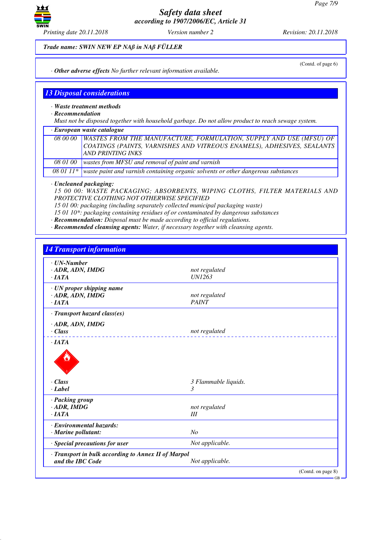

*Trade name: SWIN NEW EP NAß in NAß FÜLLER*

(Contd. of page 6)

*· Other adverse effects No further relevant information available.*

# *13 Disposal considerations*

*· Waste treatment methods*

*· Recommendation*

*Must not be disposed together with household garbage. Do not allow product to reach sewage system.*

*· European waste catalogue*

|        | 08 00 00   WASTES FROM THE MANUFACTURE, FORMULATION, SUPPLY AND USE (MFSU) OF<br>COATINGS (PAINTS, VARNISHES AND VITREOUS ENAMELS), ADHESIVES, SEALANTS<br>AND PRINTING INKS |
|--------|------------------------------------------------------------------------------------------------------------------------------------------------------------------------------|
| 0.0101 |                                                                                                                                                                              |

*08 01 00 wastes from MFSU and removal of paint and varnish*

*08 01 11\* waste paint and varnish containing organic solvents or other dangerous substances*

*· Uncleaned packaging:*

*15 00 00: WASTE PACKAGING; ABSORBENTS, WIPING CLOTHS, FILTER MATERIALS AND PROTECTIVE CLOTHING NOT OTHERWISE SPECIFIED*

*15 01 00: packaging (including separately collected municipal packaging waste)*

*15 01 10\*: packaging containing residues of or contaminated by dangerous substances*

*· Recommendation: Disposal must be made according to official regulations.*

*· Recommended cleansing agents: Water, if necessary together with cleansing agents.*

| $\cdot$ UN-Number<br>· ADR, ADN, IMDG                                   | not regulated             |
|-------------------------------------------------------------------------|---------------------------|
| $\cdot$ IATA                                                            | <b>UN1263</b>             |
|                                                                         |                           |
| · UN proper shipping name                                               |                           |
| · ADR, ADN, IMDG                                                        | not regulated             |
| ·IATA                                                                   | <b>PAINT</b>              |
| · Transport hazard class(es)                                            |                           |
| · ADR, ADN, IMDG                                                        |                           |
| $\cdot$ Class                                                           | not regulated             |
| $\cdot$ Class<br>· Label                                                | 3 Flammable liquids.<br>3 |
| · Packing group                                                         |                           |
| $\cdot$ ADR, IMDG                                                       | not regulated             |
| $\cdot$ IATA                                                            | Ш                         |
| · Environmental hazards:                                                |                           |
|                                                                         | N <sub>O</sub>            |
| · Marine pollutant:                                                     |                           |
| · Special precautions for user                                          | Not applicable.           |
| · Transport in bulk according to Annex II of Marpol<br>and the IBC Code | Not applicable.           |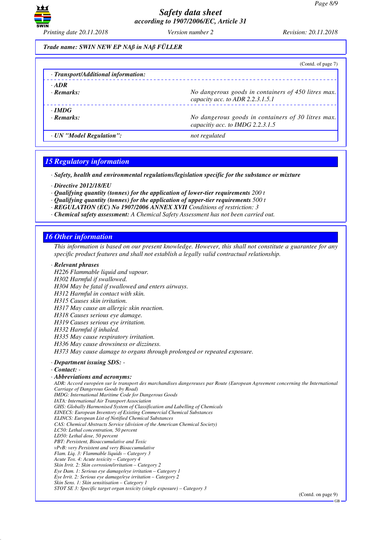

### *Trade name: SWIN NEW EP NAß in NAß FÜLLER*

|                                     | (Contd. of page 7)                                                                      |
|-------------------------------------|-----------------------------------------------------------------------------------------|
| · Transport/Additional information: |                                                                                         |
| $\cdot$ ADR                         |                                                                                         |
| $\cdot$ Remarks:                    | No dangerous goods in containers of 450 litres max.<br>capacity acc. to ADR 2.2.3.1.5.1 |
| $\cdot$ IMDG                        |                                                                                         |
| $\cdot$ Remarks:                    | No dangerous goods in containers of 30 litres max.<br>capacitiy acc. to IMDG 2.2.3.1.5  |
| · UN "Model Regulation":            | not regulated                                                                           |

# *15 Regulatory information*

*· Safety, health and environmental regulations/legislation specific for the substance or mixture*

- *· Directive 2012/18/EU*
- *· Qualifying quantity (tonnes) for the application of lower-tier requirements 200 t*
- *· Qualifying quantity (tonnes) for the application of upper-tier requirements 500 t*
- *· REGULATION (EC) No 1907/2006 ANNEX XVII Conditions of restriction: 3*
- *· Chemical safety assessment: A Chemical Safety Assessment has not been carried out.*

# *16 Other information*

*This information is based on our present knowledge. However, this shall not constitute a guarantee for any specific product features and shall not establish a legally valid contractual relationship.*

### *· Relevant phrases*

*H226 Flammable liquid and vapour.*

*H302 Harmful if swallowed.*

*H304 May be fatal if swallowed and enters airways.*

*H312 Harmful in contact with skin.*

*H315 Causes skin irritation.*

*H317 May cause an allergic skin reaction.*

*H318 Causes serious eye damage.*

*H319 Causes serious eye irritation.*

*H332 Harmful if inhaled.*

*H335 May cause respiratory irritation.*

*H336 May cause drowsiness or dizziness.*

*H373 May cause damage to organs through prolonged or repeated exposure.*

# *· Department issuing SDS: -*

*· Contact: -* 

### *· Abbreviations and acronyms:*

*ADR: Accord européen sur le transport des marchandises dangereuses par Route (European Agreement concerning the International Carriage of Dangerous Goods by Road)*

*IMDG: International Maritime Code for Dangerous Goods*

*IATA: International Air Transport Association GHS: Globally Harmonised System of Classification and Labelling of Chemicals*

*EINECS: European Inventory of Existing Commercial Chemical Substances*

*ELINCS: European List of Notified Chemical Substances*

*CAS: Chemical Abstracts Service (division of the American Chemical Society)*

*LC50: Lethal concentration, 50 percent*

*LD50: Lethal dose, 50 percent*

*PBT: Persistent, Bioaccumulative and Toxic*

*vPvB: very Persistent and very Bioaccumulative*

*Flam. Liq. 3: Flammable liquids – Category 3*

*Acute Tox. 4: Acute toxicity – Category 4*

*Skin Irrit. 2: Skin corrosion/irritation – Category 2 Eye Dam. 1: Serious eye damage/eye irritation – Category 1*

*Eye Irrit. 2: Serious eye damage/eye irritation – Category 2*

*Skin Sens. 1: Skin sensitisation – Category 1*

*STOT SE 3: Specific target organ toxicity (single exposure) – Category 3*

(Contd. on page 9)

GB